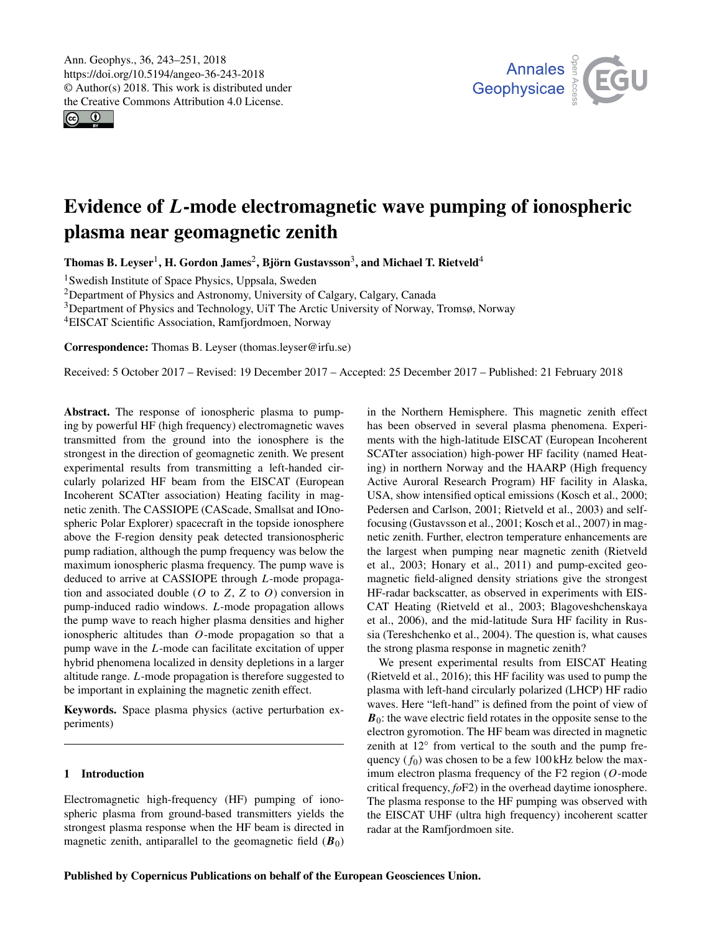<span id="page-0-1"></span> $\circledcirc$ 



# Evidence of L-mode electromagnetic wave pumping of ionospheric plasma near geomagnetic zenith

Thomas B. Leyser $^1$  $^1$ , H. Gordon James $^2$  $^2$ , Björn Gustavsson $^3$  $^3$ , and Michael T. Rietveld $^4$  $^4$ 

<sup>1</sup>Swedish Institute of Space Physics, Uppsala, Sweden

<sup>2</sup>Department of Physics and Astronomy, University of Calgary, Calgary, Canada

<sup>3</sup>Department of Physics and Technology, UiT The Arctic University of Norway, Tromsø, Norway

<sup>4</sup>EISCAT Scientific Association, Ramfjordmoen, Norway

Correspondence: Thomas B. Leyser (thomas.leyser@irfu.se)

Received: 5 October 2017 – Revised: 19 December 2017 – Accepted: 25 December 2017 – Published: 21 February 2018

<span id="page-0-0"></span>Abstract. The response of ionospheric plasma to pumping by powerful HF (high frequency) electromagnetic waves transmitted from the ground into the ionosphere is the strongest in the direction of geomagnetic zenith. We present experimental results from transmitting a left-handed circularly polarized HF beam from the EISCAT (European Incoherent SCATter association) Heating facility in magnetic zenith. The CASSIOPE (CAScade, Smallsat and IOnospheric Polar Explorer) spacecraft in the topside ionosphere above the F-region density peak detected transionospheric pump radiation, although the pump frequency was below the maximum ionospheric plasma frequency. The pump wave is deduced to arrive at CASSIOPE through L-mode propagation and associated double ( $O$  to  $Z$ ,  $Z$  to  $O$ ) conversion in pump-induced radio windows. L-mode propagation allows the pump wave to reach higher plasma densities and higher ionospheric altitudes than O-mode propagation so that a pump wave in the L-mode can facilitate excitation of upper hybrid phenomena localized in density depletions in a larger altitude range. L-mode propagation is therefore suggested to be important in explaining the magnetic zenith effect.

Keywords. Space plasma physics (active perturbation experiments)

## 1 Introduction

Electromagnetic high-frequency (HF) pumping of ionospheric plasma from ground-based transmitters yields the strongest plasma response when the HF beam is directed in magnetic zenith, antiparallel to the geomagnetic field  $(B_0)$ 

in the Northern Hemisphere. This magnetic zenith effect has been observed in several plasma phenomena. Experiments with the high-latitude EISCAT (European Incoherent SCATter association) high-power HF facility (named Heating) in northern Norway and the HAARP (High frequency Active Auroral Research Program) HF facility in Alaska, USA, show intensified optical emissions [\(Kosch et al.,](#page-8-0) [2000;](#page-8-0) [Pedersen and Carlson,](#page-8-1) [2001;](#page-8-1) [Rietveld et al.,](#page-8-2) [2003\)](#page-8-2) and selffocusing [\(Gustavsson et al.,](#page-7-0) [2001;](#page-7-0) [Kosch et al.,](#page-8-3) [2007\)](#page-8-3) in magnetic zenith. Further, electron temperature enhancements are the largest when pumping near magnetic zenith [\(Rietveld](#page-8-2) [et al.,](#page-8-2) [2003;](#page-8-2) [Honary et al.,](#page-7-1) [2011\)](#page-7-1) and pump-excited geomagnetic field-aligned density striations give the strongest HF-radar backscatter, as observed in experiments with EIS-CAT Heating [\(Rietveld et al.,](#page-8-2) [2003;](#page-8-2) [Blagoveshchenskaya](#page-7-2) [et al.,](#page-7-2) [2006\)](#page-7-2), and the mid-latitude Sura HF facility in Russia [\(Tereshchenko et al.,](#page-8-4) [2004\)](#page-8-4). The question is, what causes the strong plasma response in magnetic zenith?

We present experimental results from EISCAT Heating [\(Rietveld et al.,](#page-8-5) [2016\)](#page-8-5); this HF facility was used to pump the plasma with left-hand circularly polarized (LHCP) HF radio waves. Here "left-hand" is defined from the point of view of  $B_0$ : the wave electric field rotates in the opposite sense to the electron gyromotion. The HF beam was directed in magnetic zenith at 12° from vertical to the south and the pump frequency  $(f_0)$  was chosen to be a few 100 kHz below the maximum electron plasma frequency of the F2 region  $(O$ -mode critical frequency, *fo*F2) in the overhead daytime ionosphere. The plasma response to the HF pumping was observed with the EISCAT UHF (ultra high frequency) incoherent scatter radar at the Ramfjordmoen site.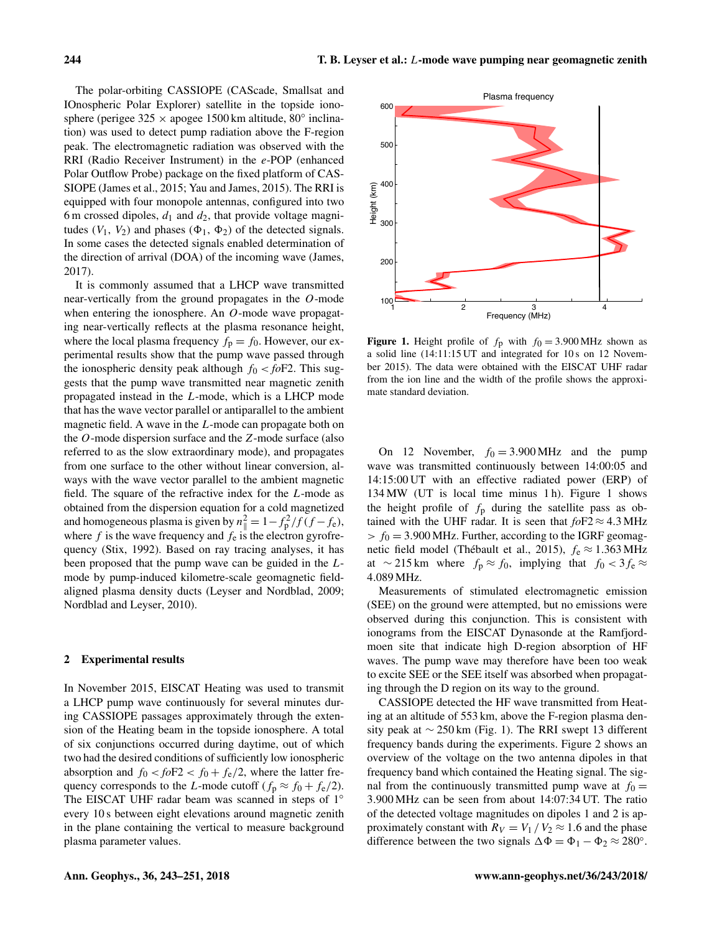The polar-orbiting CASSIOPE (CAScade, Smallsat and IOnospheric Polar Explorer) satellite in the topside ionosphere (perigee  $325 \times$  apogee 1500 km altitude,  $80^\circ$  inclination) was used to detect pump radiation above the F-region peak. The electromagnetic radiation was observed with the RRI (Radio Receiver Instrument) in the e-POP (enhanced Polar Outflow Probe) package on the fixed platform of CAS-SIOPE [\(James et al.,](#page-7-3) [2015;](#page-7-3) [Yau and James,](#page-8-6) [2015\)](#page-8-6). The RRI is equipped with four monopole antennas, configured into two 6 m crossed dipoles,  $d_1$  and  $d_2$ , that provide voltage magnitudes  $(V_1, V_2)$  and phases  $(\Phi_1, \Phi_2)$  of the detected signals. In some cases the detected signals enabled determination of the direction of arrival (DOA) of the incoming wave [\(James,](#page-8-7) [2017\)](#page-8-7).

It is commonly assumed that a LHCP wave transmitted near-vertically from the ground propagates in the O-mode when entering the ionosphere. An O-mode wave propagating near-vertically reflects at the plasma resonance height, where the local plasma frequency  $f_p = f_0$ . However, our experimental results show that the pump wave passed through the ionospheric density peak although  $f_0 < f \circ F2$ . This suggests that the pump wave transmitted near magnetic zenith propagated instead in the L-mode, which is a LHCP mode that has the wave vector parallel or antiparallel to the ambient magnetic field. A wave in the L-mode can propagate both on the O-mode dispersion surface and the Z-mode surface (also referred to as the slow extraordinary mode), and propagates from one surface to the other without linear conversion, always with the wave vector parallel to the ambient magnetic field. The square of the refractive index for the L-mode as obtained from the dispersion equation for a cold magnetized and homogeneous plasma is given by  $n_{\parallel}^2 = 1 - f_{\rm p}^2/f(f - f_{\rm e})$ , where  $f$  is the wave frequency and  $f_e$  is the electron gyrofrequency [\(Stix,](#page-8-8) [1992\)](#page-8-8). Based on ray tracing analyses, it has been proposed that the pump wave can be guided in the Lmode by pump-induced kilometre-scale geomagnetic fieldaligned plasma density ducts [\(Leyser and Nordblad,](#page-8-9) [2009;](#page-8-9) [Nordblad and Leyser,](#page-8-10) [2010\)](#page-8-10).

### 2 Experimental results

In November 2015, EISCAT Heating was used to transmit a LHCP pump wave continuously for several minutes during CASSIOPE passages approximately through the extension of the Heating beam in the topside ionosphere. A total of six conjunctions occurred during daytime, out of which two had the desired conditions of sufficiently low ionospheric absorption and  $f_0 < f \circ F2 < f_0 + f_e/2$ , where the latter frequency corresponds to the L-mode cutoff ( $f_p \approx f_0 + f_e/2$ ). The EISCAT UHF radar beam was scanned in steps of 1<sup>°</sup> every 10 s between eight elevations around magnetic zenith in the plane containing the vertical to measure background plasma parameter values.

<span id="page-1-0"></span>

**Figure 1.** Height profile of  $f_p$  with  $f_0 = 3.900 \text{ MHz}$  shown as a solid line (14:11:15 UT and integrated for 10 s on 12 November 2015). The data were obtained with the EISCAT UHF radar from the ion line and the width of the profile shows the approximate standard deviation.

On 12 November,  $f_0 = 3.900 \text{ MHz}$  and the pump wave was transmitted continuously between 14:00:05 and 14:15:00 UT with an effective radiated power (ERP) of 134 MW (UT is local time minus 1 h). Figure [1](#page-1-0) shows the height profile of  $f_p$  during the satellite pass as obtained with the UHF radar. It is seen that  $f \circ F2 \approx 4.3 \text{ MHz}$  $> f_0 = 3.900 \text{ MHz}$ . Further, according to the IGRF geomag-netic field model [\(Thébault et al.,](#page-8-11) [2015\)](#page-8-11),  $f_e \approx 1.363 \text{ MHz}$ at ∼215 km where  $f_p \approx f_0$ , implying that  $f_0 < 3f_e \approx$ 4.089 MHz.

Measurements of stimulated electromagnetic emission (SEE) on the ground were attempted, but no emissions were observed during this conjunction. This is consistent with ionograms from the EISCAT Dynasonde at the Ramfjordmoen site that indicate high D-region absorption of HF waves. The pump wave may therefore have been too weak to excite SEE or the SEE itself was absorbed when propagating through the D region on its way to the ground.

CASSIOPE detected the HF wave transmitted from Heating at an altitude of 553 km, above the F-region plasma density peak at  $\sim$  250 km (Fig. [1\)](#page-1-0). The RRI swept 13 different frequency bands during the experiments. Figure [2](#page-3-0) shows an overview of the voltage on the two antenna dipoles in that frequency band which contained the Heating signal. The signal from the continuously transmitted pump wave at  $f_0 =$ 3.900 MHz can be seen from about 14:07:34 UT. The ratio of the detected voltage magnitudes on dipoles 1 and 2 is approximately constant with  $R_V = V_1 / V_2 \approx 1.6$  and the phase difference between the two signals  $\Delta \Phi = \Phi_1 - \Phi_2 \approx 280^\circ$ .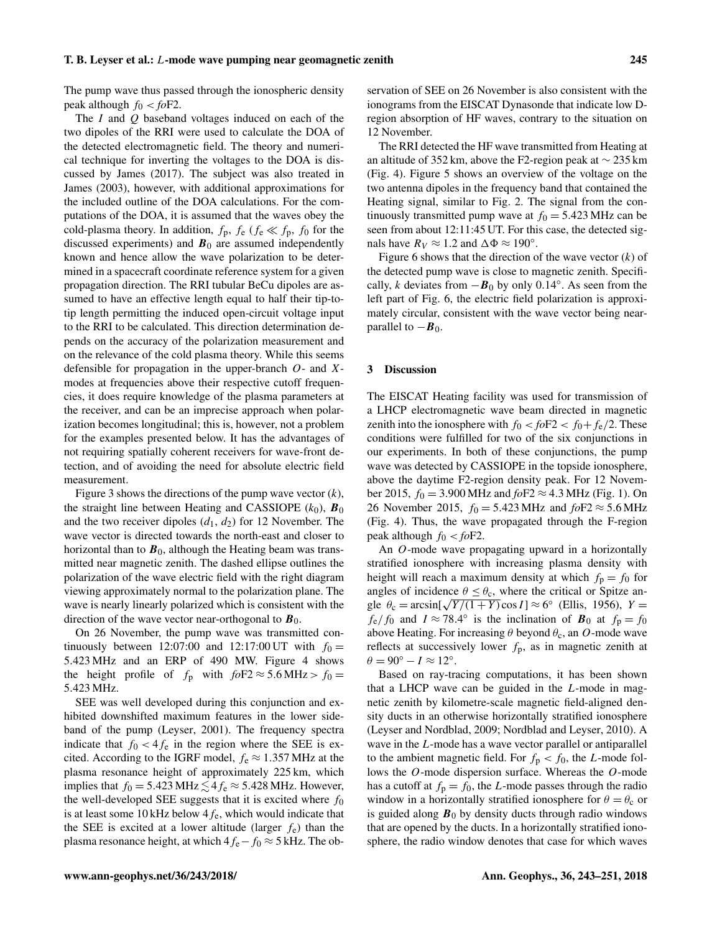### T. B. Leyser et al.: L-mode wave pumping near geomagnetic zenith 245

The pump wave thus passed through the ionospheric density peak although  $f_0 < f \circ F2$ .

The I and Q baseband voltages induced on each of the two dipoles of the RRI were used to calculate the DOA of the detected electromagnetic field. The theory and numerical technique for inverting the voltages to the DOA is discussed by [James](#page-8-7) [\(2017\)](#page-8-7). The subject was also treated in [James](#page-8-12) [\(2003\)](#page-8-12), however, with additional approximations for the included outline of the DOA calculations. For the computations of the DOA, it is assumed that the waves obey the cold-plasma theory. In addition,  $f_p$ ,  $f_e$  ( $f_e \ll f_p$ ,  $f_0$  for the discussed experiments) and  $\mathbf{B}_0$  are assumed independently known and hence allow the wave polarization to be determined in a spacecraft coordinate reference system for a given propagation direction. The RRI tubular BeCu dipoles are assumed to have an effective length equal to half their tip-totip length permitting the induced open-circuit voltage input to the RRI to be calculated. This direction determination depends on the accuracy of the polarization measurement and on the relevance of the cold plasma theory. While this seems defensible for propagation in the upper-branch  $O$ - and  $X$ modes at frequencies above their respective cutoff frequencies, it does require knowledge of the plasma parameters at the receiver, and can be an imprecise approach when polarization becomes longitudinal; this is, however, not a problem for the examples presented below. It has the advantages of not requiring spatially coherent receivers for wave-front detection, and of avoiding the need for absolute electric field measurement.

Figure [3](#page-3-1) shows the directions of the pump wave vector  $(k)$ , the straight line between Heating and CASSIOPE  $(k_0)$ ,  $\mathbf{B}_0$ and the two receiver dipoles  $(d_1, d_2)$  for 12 November. The wave vector is directed towards the north-east and closer to horizontal than to  $\mathbf{B}_0$ , although the Heating beam was transmitted near magnetic zenith. The dashed ellipse outlines the polarization of the wave electric field with the right diagram viewing approximately normal to the polarization plane. The wave is nearly linearly polarized which is consistent with the direction of the wave vector near-orthogonal to  $\mathbf{B}_0$ .

On 26 November, the pump wave was transmitted continuously between 12:07:00 and 12:17:00 UT with  $f_0 =$ 5.423 MHz and an ERP of 490 MW. Figure [4](#page-4-0) shows the height profile of  $f_p$  with  $f \circ F2 \approx 5.6 \text{ MHz} > f_0 =$ 5.423 MHz.

SEE was well developed during this conjunction and exhibited downshifted maximum features in the lower sideband of the pump [\(Leyser,](#page-8-13) [2001\)](#page-8-13). The frequency spectra indicate that  $f_0 < 4f_e$  in the region where the SEE is excited. According to the IGRF model,  $f_e \approx 1.357 \text{ MHz}$  at the plasma resonance height of approximately 225 km, which implies that  $f_0 = 5.423 \text{ MHz} \lesssim 4 f_e \approx 5.428 \text{ MHz}$ . However, the well-developed SEE suggests that it is excited where  $f_0$ is at least some 10 kHz below  $4f_e$ , which would indicate that the SEE is excited at a lower altitude (larger  $f_e$ ) than the plasma resonance height, at which  $4f_e - f_0 \approx 5$  kHz. The observation of SEE on 26 November is also consistent with the ionograms from the EISCAT Dynasonde that indicate low Dregion absorption of HF waves, contrary to the situation on 12 November.

The RRI detected the HF wave transmitted from Heating at an altitude of 352 km, above the F2-region peak at ∼ 235 km (Fig. [4\)](#page-4-0). Figure [5](#page-5-0) shows an overview of the voltage on the two antenna dipoles in the frequency band that contained the Heating signal, similar to Fig. [2.](#page-3-0) The signal from the continuously transmitted pump wave at  $f_0 = 5.423 \text{ MHz}$  can be seen from about 12:11:45 UT. For this case, the detected signals have  $R_V \approx 1.2$  and  $\Delta \Phi \approx 190^\circ$ .

Figure [6](#page-5-1) shows that the direction of the wave vector  $(k)$  of the detected pump wave is close to magnetic zenith. Specifically, k deviates from  $-B_0$  by only 0.14°. As seen from the left part of Fig. [6,](#page-5-1) the electric field polarization is approximately circular, consistent with the wave vector being nearparallel to  $-B_0$ .

## 3 Discussion

The EISCAT Heating facility was used for transmission of a LHCP electromagnetic wave beam directed in magnetic zenith into the ionosphere with  $f_0 < f \circ F2 < f_0 + f_e/2$ . These conditions were fulfilled for two of the six conjunctions in our experiments. In both of these conjunctions, the pump wave was detected by CASSIOPE in the topside ionosphere, above the daytime F2-region density peak. For 12 November 2015,  $f_0 = 3.900 \text{ MHz}$  and  $f_0F_2 \approx 4.3 \text{ MHz}$  (Fig. [1\)](#page-1-0). On 26 November 2015,  $f_0 = 5.423 \text{ MHz}$  and  $f_0 = 5.6 \text{ MHz}$ (Fig. [4\)](#page-4-0). Thus, the wave propagated through the F-region peak although  $f_0 < f \circ F2$ .

An O-mode wave propagating upward in a horizontally stratified ionosphere with increasing plasma density with height will reach a maximum density at which  $f_p = f_0$  for angles of incidence  $\theta \leq \theta_c$ , where the critical or Spitze angle  $\theta_c = \arcsin[\sqrt{\frac{Y}{(1+Y)}}\cos I] \approx 6^{\circ}$  [\(Ellis,](#page-7-4) [1956\)](#page-7-4),  $Y =$  $f_e/f_0$  and  $I \approx 78.4^\circ$  is the inclination of  $\mathbf{B}_0$  at  $f_p = f_0$ above Heating. For increasing  $\theta$  beyond  $\theta_c$ , an O-mode wave reflects at successively lower  $f_p$ , as in magnetic zenith at  $\theta = 90^{\circ} - I \approx 12^{\circ}.$ 

Based on ray-tracing computations, it has been shown that a LHCP wave can be guided in the L-mode in magnetic zenith by kilometre-scale magnetic field-aligned density ducts in an otherwise horizontally stratified ionosphere [\(Leyser and Nordblad,](#page-8-9) [2009;](#page-8-9) [Nordblad and Leyser,](#page-8-10) [2010\)](#page-8-10). A wave in the L-mode has a wave vector parallel or antiparallel to the ambient magnetic field. For  $f_p < f_0$ , the L-mode follows the O-mode dispersion surface. Whereas the O-mode has a cutoff at  $f_p = f_0$ , the L-mode passes through the radio window in a horizontally stratified ionosphere for  $\theta = \theta_c$  or is guided along  $B_0$  by density ducts through radio windows that are opened by the ducts. In a horizontally stratified ionosphere, the radio window denotes that case for which waves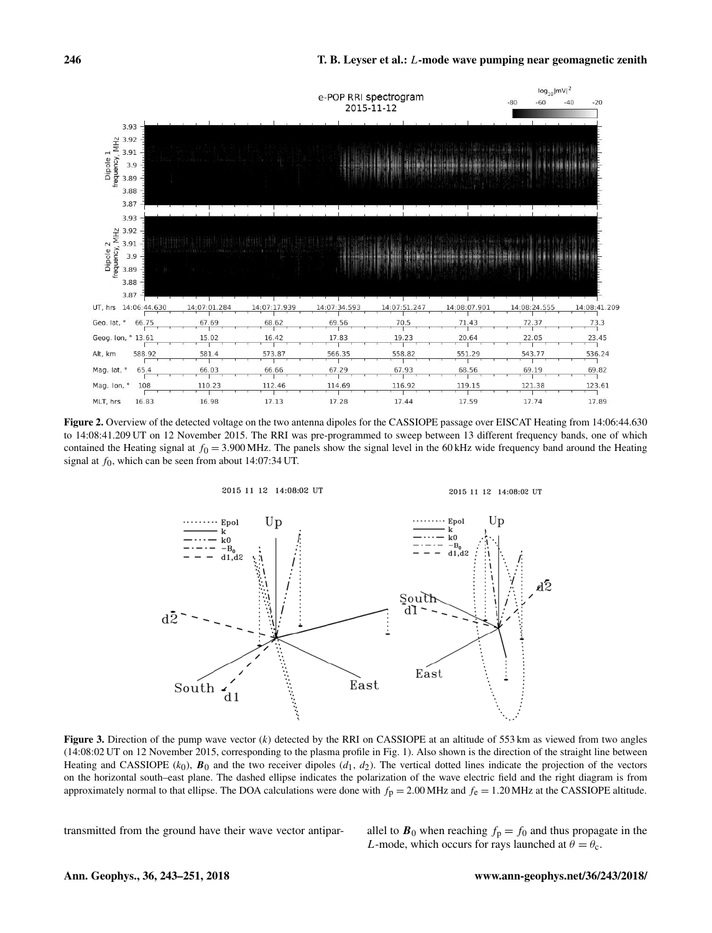<span id="page-3-0"></span>

<span id="page-3-1"></span>Figure 2. Overview of the detected voltage on the two antenna dipoles for the CASSIOPE passage over EISCAT Heating from 14:06:44.630 to 14:08:41.209 UT on 12 November 2015. The RRI was pre-programmed to sweep between 13 different frequency bands, one of which contained the Heating signal at  $f_0 = 3.900$  MHz. The panels show the signal level in the 60 kHz wide frequency band around the Heating signal at  $f_0$ , which can be seen from about 14:07:34 UT.



Figure 3. Direction of the pump wave vector  $(k)$  detected by the RRI on CASSIOPE at an altitude of 553 km as viewed from two angles (14:08:02 UT on 12 November 2015, corresponding to the plasma profile in Fig. [1\)](#page-1-0). Also shown is the direction of the straight line between Heating and CASSIOPE ( $k_0$ ),  $\mathbf{B}_0$  and the two receiver dipoles ( $d_1$ ,  $d_2$ ). The vertical dotted lines indicate the projection of the vectors on the horizontal south–east plane. The dashed ellipse indicates the polarization of the wave electric field and the right diagram is from approximately normal to that ellipse. The DOA calculations were done with  $f_p = 2.00 \text{ MHz}$  and  $f_e = 1.20 \text{ MHz}$  at the CASSIOPE altitude.

transmitted from the ground have their wave vector antipar- allel to  $\mathbf{B}_0$  when reaching  $f_p = f_0$  and thus propagate in the L-mode, which occurs for rays launched at  $\theta = \theta_c$ .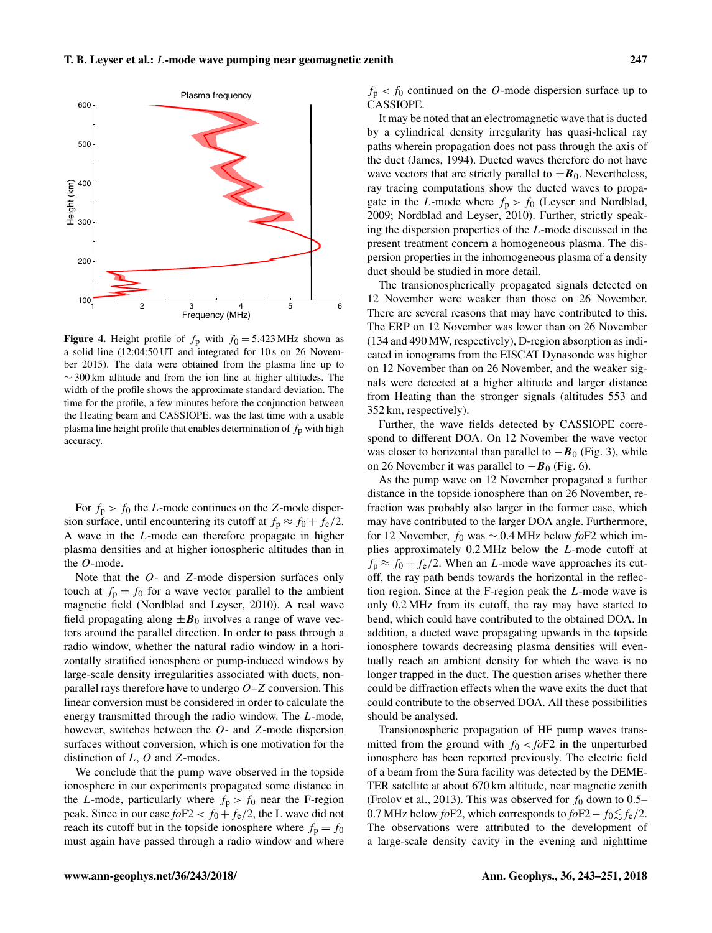<span id="page-4-0"></span>

Figure 4. Height profile of  $f_p$  with  $f_0 = 5.423 \text{ MHz}$  shown as a solid line (12:04:50 UT and integrated for 10 s on 26 November 2015). The data were obtained from the plasma line up to  $\sim$  300 km altitude and from the ion line at higher altitudes. The width of the profile shows the approximate standard deviation. The time for the profile, a few minutes before the conjunction between the Heating beam and CASSIOPE, was the last time with a usable plasma line height profile that enables determination of  $f<sub>p</sub>$  with high accuracy.

For  $f_p > f_0$  the L-mode continues on the Z-mode dispersion surface, until encountering its cutoff at  $f_p \approx f_0 + f_e/2$ . A wave in the L-mode can therefore propagate in higher plasma densities and at higher ionospheric altitudes than in the O-mode.

Note that the O- and Z-mode dispersion surfaces only touch at  $f_p = f_0$  for a wave vector parallel to the ambient magnetic field [\(Nordblad and Leyser,](#page-8-10) [2010\)](#page-8-10). A real wave field propagating along  $\pm B_0$  involves a range of wave vectors around the parallel direction. In order to pass through a radio window, whether the natural radio window in a horizontally stratified ionosphere or pump-induced windows by large-scale density irregularities associated with ducts, nonparallel rays therefore have to undergo  $O-Z$  conversion. This linear conversion must be considered in order to calculate the energy transmitted through the radio window. The L-mode, however, switches between the O- and Z-mode dispersion surfaces without conversion, which is one motivation for the distinction of L, O and Z-modes.

We conclude that the pump wave observed in the topside ionosphere in our experiments propagated some distance in the L-mode, particularly where  $f_p > f_0$  near the F-region peak. Since in our case  $f \circ F2 < f_0 + f_e/2$ , the L wave did not reach its cutoff but in the topside ionosphere where  $f_p = f_0$ must again have passed through a radio window and where  $f_p < f_0$  continued on the O-mode dispersion surface up to CASSIOPE.

It may be noted that an electromagnetic wave that is ducted by a cylindrical density irregularity has quasi-helical ray paths wherein propagation does not pass through the axis of the duct [\(James,](#page-8-14) [1994\)](#page-8-14). Ducted waves therefore do not have wave vectors that are strictly parallel to  $\pm B_0$ . Nevertheless, ray tracing computations show the ducted waves to propagate in the L-mode where  $f_p > f_0$  [\(Leyser and Nordblad,](#page-8-9) [2009;](#page-8-9) [Nordblad and Leyser,](#page-8-10) [2010\)](#page-8-10). Further, strictly speaking the dispersion properties of the L-mode discussed in the present treatment concern a homogeneous plasma. The dispersion properties in the inhomogeneous plasma of a density duct should be studied in more detail.

The transionospherically propagated signals detected on 12 November were weaker than those on 26 November. There are several reasons that may have contributed to this. The ERP on 12 November was lower than on 26 November (134 and 490 MW, respectively), D-region absorption as indicated in ionograms from the EISCAT Dynasonde was higher on 12 November than on 26 November, and the weaker signals were detected at a higher altitude and larger distance from Heating than the stronger signals (altitudes 553 and 352 km, respectively).

Further, the wave fields detected by CASSIOPE correspond to different DOA. On 12 November the wave vector was closer to horizontal than parallel to  $-B<sub>0</sub>$  (Fig. [3\)](#page-3-1), while on 26 November it was parallel to  $-B_0$  (Fig. [6\)](#page-5-1).

As the pump wave on 12 November propagated a further distance in the topside ionosphere than on 26 November, refraction was probably also larger in the former case, which may have contributed to the larger DOA angle. Furthermore, for 12 November, f<sup>0</sup> was ∼ 0.4 MHz below *fo*F2 which implies approximately 0.2 MHz below the L-mode cutoff at  $f_p \approx f_0 + f_e/2$ . When an *L*-mode wave approaches its cutoff, the ray path bends towards the horizontal in the reflection region. Since at the F-region peak the L-mode wave is only 0.2 MHz from its cutoff, the ray may have started to bend, which could have contributed to the obtained DOA. In addition, a ducted wave propagating upwards in the topside ionosphere towards decreasing plasma densities will eventually reach an ambient density for which the wave is no longer trapped in the duct. The question arises whether there could be diffraction effects when the wave exits the duct that could contribute to the observed DOA. All these possibilities should be analysed.

Transionospheric propagation of HF pump waves transmitted from the ground with  $f_0 < f \circ F^2$  in the unperturbed ionosphere has been reported previously. The electric field of a beam from the Sura facility was detected by the DEME-TER satellite at about 670 km altitude, near magnetic zenith [\(Frolov et al.,](#page-7-5) [2013\)](#page-7-5). This was observed for  $f_0$  down to 0.5– 0.7 MHz below *fo*F2, which corresponds to *fo*F2 – *f*<sub>0</sub> ≤ *f*<sub>e</sub>/2. The observations were attributed to the development of a large-scale density cavity in the evening and nighttime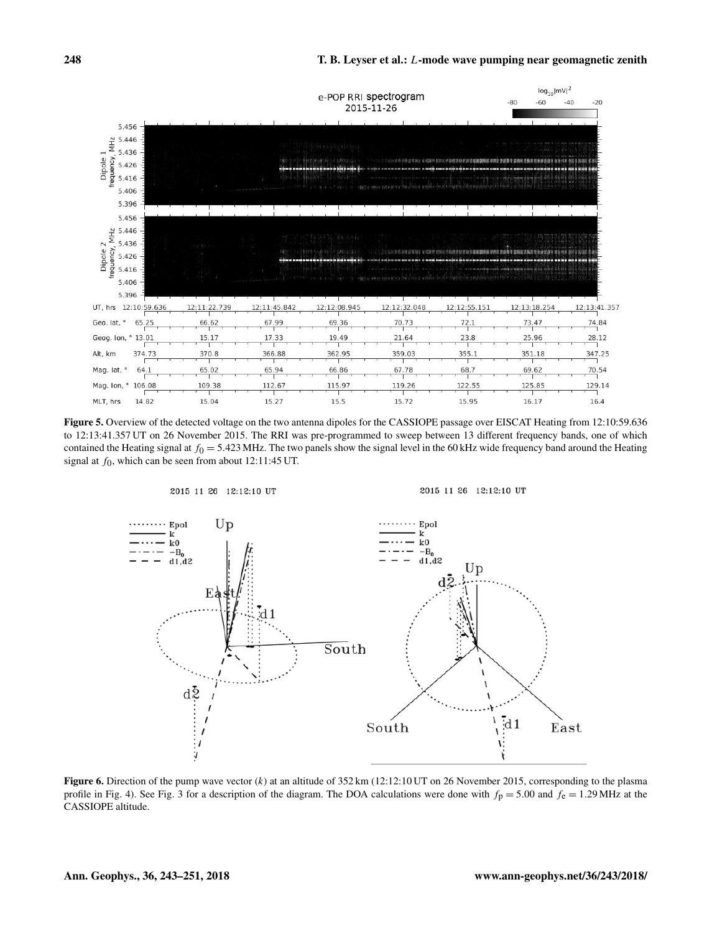<span id="page-5-0"></span>

Figure 5. Overview of the detected voltage on the two antenna dipoles for the CASSIOPE passage over EISCAT Heating from 12:10:59.636 to 12:13:41.357 UT on 26 November 2015. The RRI was pre-programmed to sweep between 13 different frequency bands, one of which contained the Heating signal at  $f_0 = 5.423$  MHz. The two panels show the signal level in the 60 kHz wide frequency band around the Heating signal at  $f_0$ , which can be seen from about 12:11:45 UT.

<span id="page-5-1"></span>

Figure 6. Direction of the pump wave vector  $(k)$  at an altitude of 352 km (12:12:10 UT on 26 November 2015, corresponding to the plasma profile in Fig. [4\)](#page-4-0). See Fig. [3](#page-3-1) for a description of the diagram. The DOA calculations were done with  $f_p = 5.00$  and  $f_e = 1.29$  MHz at the CASSIOPE altitude.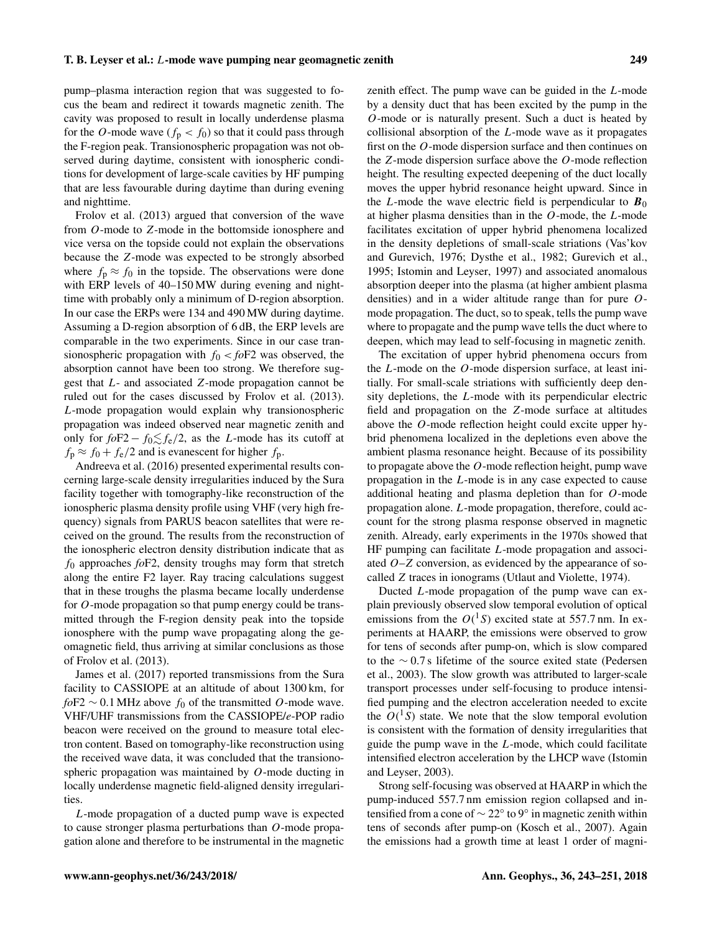pump–plasma interaction region that was suggested to focus the beam and redirect it towards magnetic zenith. The cavity was proposed to result in locally underdense plasma for the O-mode wave  $(f_p < f_0)$  so that it could pass through the F-region peak. Transionospheric propagation was not observed during daytime, consistent with ionospheric conditions for development of large-scale cavities by HF pumping that are less favourable during daytime than during evening and nighttime.

[Frolov et al.](#page-7-5) [\(2013\)](#page-7-5) argued that conversion of the wave from O-mode to Z-mode in the bottomside ionosphere and vice versa on the topside could not explain the observations because the Z-mode was expected to be strongly absorbed where  $f_p \approx f_0$  in the topside. The observations were done with ERP levels of 40–150 MW during evening and nighttime with probably only a minimum of D-region absorption. In our case the ERPs were 134 and 490 MW during daytime. Assuming a D-region absorption of 6 dB, the ERP levels are comparable in the two experiments. Since in our case transionospheric propagation with  $f_0 < f_0$  was observed, the absorption cannot have been too strong. We therefore suggest that L- and associated Z-mode propagation cannot be ruled out for the cases discussed by [Frolov et al.](#page-7-5) [\(2013\)](#page-7-5). L-mode propagation would explain why transionospheric propagation was indeed observed near magnetic zenith and only for  $f \circ F2 - f_0 \lesssim f_e/2$ , as the *L*-mode has its cutoff at  $f_p \approx f_0 + f_e/2$  and is evanescent for higher  $f_p$ .

[Andreeva et al.](#page-7-6) [\(2016\)](#page-7-6) presented experimental results concerning large-scale density irregularities induced by the Sura facility together with tomography-like reconstruction of the ionospheric plasma density profile using VHF (very high frequency) signals from PARUS beacon satellites that were received on the ground. The results from the reconstruction of the ionospheric electron density distribution indicate that as f<sup>0</sup> approaches *fo*F2, density troughs may form that stretch along the entire F2 layer. Ray tracing calculations suggest that in these troughs the plasma became locally underdense for O-mode propagation so that pump energy could be transmitted through the F-region density peak into the topside ionosphere with the pump wave propagating along the geomagnetic field, thus arriving at similar conclusions as those of [Frolov et al.](#page-7-5) [\(2013\)](#page-7-5).

[James et al.](#page-8-15) [\(2017\)](#page-8-15) reported transmissions from the Sura facility to CASSIOPE at an altitude of about 1300 km, for  $f \circ F2 \sim 0.1$  MHz above  $f_0$  of the transmitted O-mode wave. VHF/UHF transmissions from the CASSIOPE/e-POP radio beacon were received on the ground to measure total electron content. Based on tomography-like reconstruction using the received wave data, it was concluded that the transionospheric propagation was maintained by O-mode ducting in locally underdense magnetic field-aligned density irregularities.

L-mode propagation of a ducted pump wave is expected to cause stronger plasma perturbations than O-mode propagation alone and therefore to be instrumental in the magnetic zenith effect. The pump wave can be guided in the L-mode by a density duct that has been excited by the pump in the O-mode or is naturally present. Such a duct is heated by collisional absorption of the L-mode wave as it propagates first on the O-mode dispersion surface and then continues on the  $Z$ -mode dispersion surface above the  $O$ -mode reflection height. The resulting expected deepening of the duct locally moves the upper hybrid resonance height upward. Since in the L-mode the wave electric field is perpendicular to  $\mathbf{B}_0$ at higher plasma densities than in the  $O$ -mode, the  $L$ -mode facilitates excitation of upper hybrid phenomena localized in the density depletions of small-scale striations [\(Vas'kov](#page-8-16) [and Gurevich,](#page-8-16) [1976;](#page-8-16) [Dysthe et al.,](#page-7-7) [1982;](#page-7-7) [Gurevich et al.,](#page-7-8) [1995;](#page-7-8) [Istomin and Leyser,](#page-7-9) [1997\)](#page-7-9) and associated anomalous absorption deeper into the plasma (at higher ambient plasma densities) and in a wider altitude range than for pure Omode propagation. The duct, so to speak, tells the pump wave where to propagate and the pump wave tells the duct where to deepen, which may lead to self-focusing in magnetic zenith.

The excitation of upper hybrid phenomena occurs from the L-mode on the O-mode dispersion surface, at least initially. For small-scale striations with sufficiently deep density depletions, the L-mode with its perpendicular electric field and propagation on the Z-mode surface at altitudes above the O-mode reflection height could excite upper hybrid phenomena localized in the depletions even above the ambient plasma resonance height. Because of its possibility to propagate above the  $O$ -mode reflection height, pump wave propagation in the L-mode is in any case expected to cause additional heating and plasma depletion than for O-mode propagation alone. L-mode propagation, therefore, could account for the strong plasma response observed in magnetic zenith. Already, early experiments in the 1970s showed that HF pumping can facilitate L-mode propagation and associated  $O-Z$  conversion, as evidenced by the appearance of socalled Z traces in ionograms [\(Utlaut and Violette,](#page-8-17) [1974\)](#page-8-17).

Ducted L-mode propagation of the pump wave can explain previously observed slow temporal evolution of optical emissions from the  $O(^1S)$  excited state at 557.7 nm. In experiments at HAARP, the emissions were observed to grow for tens of seconds after pump-on, which is slow compared to the ∼ 0.7 s lifetime of the source exited state [\(Pedersen](#page-8-18) [et al.,](#page-8-18) [2003\)](#page-8-18). The slow growth was attributed to larger-scale transport processes under self-focusing to produce intensified pumping and the electron acceleration needed to excite the  $O(^1S)$  state. We note that the slow temporal evolution is consistent with the formation of density irregularities that guide the pump wave in the  $L$ -mode, which could facilitate intensified electron acceleration by the LHCP wave [\(Istomin](#page-7-10) [and Leyser,](#page-7-10) [2003\)](#page-7-10).

Strong self-focusing was observed at HAARP in which the pump-induced 557.7 nm emission region collapsed and intensified from a cone of  $\sim 22^{\circ}$  to 9° in magnetic zenith within tens of seconds after pump-on [\(Kosch et al.,](#page-8-3) [2007\)](#page-8-3). Again the emissions had a growth time at least 1 order of magni-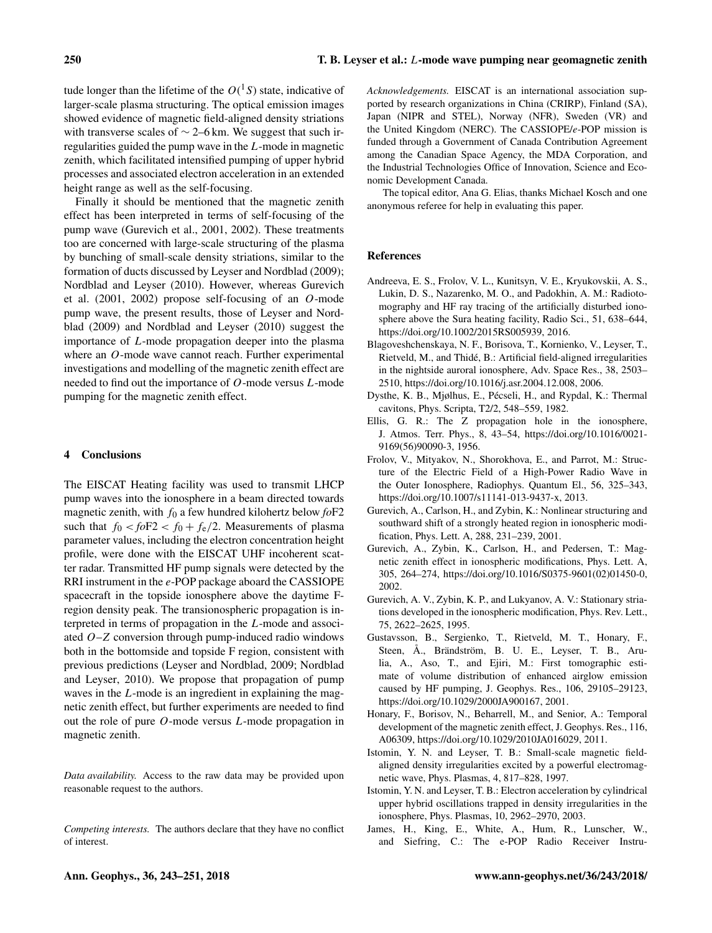tude longer than the lifetime of the  $O({}^1S)$  state, indicative of larger-scale plasma structuring. The optical emission images showed evidence of magnetic field-aligned density striations with transverse scales of ∼ 2–6 km. We suggest that such irregularities guided the pump wave in the L-mode in magnetic zenith, which facilitated intensified pumping of upper hybrid processes and associated electron acceleration in an extended height range as well as the self-focusing.

Finally it should be mentioned that the magnetic zenith effect has been interpreted in terms of self-focusing of the pump wave [\(Gurevich et al.,](#page-7-11) [2001,](#page-7-11) [2002\)](#page-7-12). These treatments too are concerned with large-scale structuring of the plasma by bunching of small-scale density striations, similar to the formation of ducts discussed by [Leyser and Nordblad](#page-8-9) [\(2009\)](#page-8-9); [Nordblad and Leyser](#page-8-10) [\(2010\)](#page-8-10). However, whereas [Gurevich](#page-7-11) [et al.](#page-7-11)  $(2001, 2002)$  $(2001, 2002)$  $(2001, 2002)$  propose self-focusing of an  $O$ -mode pump wave, the present results, those of [Leyser and Nord](#page-8-9)[blad](#page-8-9) [\(2009\)](#page-8-9) and [Nordblad and Leyser](#page-8-10) [\(2010\)](#page-8-10) suggest the importance of L-mode propagation deeper into the plasma where an O-mode wave cannot reach. Further experimental investigations and modelling of the magnetic zenith effect are needed to find out the importance of O-mode versus L-mode pumping for the magnetic zenith effect.

## 4 Conclusions

The EISCAT Heating facility was used to transmit LHCP pump waves into the ionosphere in a beam directed towards magnetic zenith, with  $f_0$  a few hundred kilohertz below  $f_0F_2$ such that  $f_0 < f \circ F2 < f_0 + f_e/2$ . Measurements of plasma parameter values, including the electron concentration height profile, were done with the EISCAT UHF incoherent scatter radar. Transmitted HF pump signals were detected by the RRI instrument in the e-POP package aboard the CASSIOPE spacecraft in the topside ionosphere above the daytime Fregion density peak. The transionospheric propagation is interpreted in terms of propagation in the L-mode and associated O–Z conversion through pump-induced radio windows both in the bottomside and topside F region, consistent with previous predictions [\(Leyser and Nordblad,](#page-8-9) [2009;](#page-8-9) [Nordblad](#page-8-10) [and Leyser,](#page-8-10) [2010\)](#page-8-10). We propose that propagation of pump waves in the *L*-mode is an ingredient in explaining the magnetic zenith effect, but further experiments are needed to find out the role of pure O-mode versus L-mode propagation in magnetic zenith.

*Data availability.* Access to the raw data may be provided upon reasonable request to the authors.

*Competing interests.* The authors declare that they have no conflict of interest.

*Acknowledgements.* EISCAT is an international association supported by research organizations in China (CRIRP), Finland (SA), Japan (NIPR and STEL), Norway (NFR), Sweden (VR) and the United Kingdom (NERC). The CASSIOPE/e-POP mission is funded through a Government of Canada Contribution Agreement among the Canadian Space Agency, the MDA Corporation, and the Industrial Technologies Office of Innovation, Science and Economic Development Canada.

The topical editor, Ana G. Elias, thanks Michael Kosch and one anonymous referee for help in evaluating this paper.

#### References

- <span id="page-7-6"></span>Andreeva, E. S., Frolov, V. L., Kunitsyn, V. E., Kryukovskii, A. S., Lukin, D. S., Nazarenko, M. O., and Padokhin, A. M.: Radiotomography and HF ray tracing of the artificially disturbed ionosphere above the Sura heating facility, Radio Sci., 51, 638–644, https://doi.org[/10.1002/2015RS005939,](https://doi.org/10.1002/2015RS005939) 2016.
- <span id="page-7-2"></span>Blagoveshchenskaya, N. F., Borisova, T., Kornienko, V., Leyser, T., Rietveld, M., and Thidé, B.: Artificial field-aligned irregularities in the nightside auroral ionosphere, Adv. Space Res., 38, 2503– 2510, https://doi.org[/10.1016/j.asr.2004.12.008,](https://doi.org/10.1016/j.asr.2004.12.008) 2006.
- <span id="page-7-7"></span>Dysthe, K. B., Mjølhus, E., Pécseli, H., and Rypdal, K.: Thermal cavitons, Phys. Scripta, T2/2, 548–559, 1982.
- <span id="page-7-4"></span>Ellis, G. R.: The Z propagation hole in the ionosphere, J. Atmos. Terr. Phys., 8, 43–54, https://doi.org[/10.1016/0021-](https://doi.org/10.1016/0021-9169(56)90090-3) [9169\(56\)90090-3,](https://doi.org/10.1016/0021-9169(56)90090-3) 1956.
- <span id="page-7-5"></span>Frolov, V., Mityakov, N., Shorokhova, E., and Parrot, M.: Structure of the Electric Field of a High-Power Radio Wave in the Outer Ionosphere, Radiophys. Quantum El., 56, 325–343, https://doi.org[/10.1007/s11141-013-9437-x,](https://doi.org/10.1007/s11141-013-9437-x) 2013.
- <span id="page-7-11"></span>Gurevich, A., Carlson, H., and Zybin, K.: Nonlinear structuring and southward shift of a strongly heated region in ionospheric modification, Phys. Lett. A, 288, 231–239, 2001.
- <span id="page-7-12"></span>Gurevich, A., Zybin, K., Carlson, H., and Pedersen, T.: Magnetic zenith effect in ionospheric modifications, Phys. Lett. A, 305, 264–274, https://doi.org[/10.1016/S0375-9601\(02\)01450-0,](https://doi.org/10.1016/S0375-9601(02)01450-0) 2002.
- <span id="page-7-8"></span>Gurevich, A. V., Zybin, K. P., and Lukyanov, A. V.: Stationary striations developed in the ionospheric modification, Phys. Rev. Lett., 75, 2622–2625, 1995.
- <span id="page-7-0"></span>Gustavsson, B., Sergienko, T., Rietveld, M. T., Honary, F., Steen, Å., Brändström, B. U. E., Leyser, T. B., Arulia, A., Aso, T., and Ejiri, M.: First tomographic estimate of volume distribution of enhanced airglow emission caused by HF pumping, J. Geophys. Res., 106, 29105–29123, https://doi.org[/10.1029/2000JA900167,](https://doi.org/10.1029/2000JA900167) 2001.
- <span id="page-7-1"></span>Honary, F., Borisov, N., Beharrell, M., and Senior, A.: Temporal development of the magnetic zenith effect, J. Geophys. Res., 116, A06309, https://doi.org[/10.1029/2010JA016029,](https://doi.org/10.1029/2010JA016029) 2011.
- <span id="page-7-9"></span>Istomin, Y. N. and Leyser, T. B.: Small-scale magnetic fieldaligned density irregularities excited by a powerful electromagnetic wave, Phys. Plasmas, 4, 817–828, 1997.
- <span id="page-7-10"></span>Istomin, Y. N. and Leyser, T. B.: Electron acceleration by cylindrical upper hybrid oscillations trapped in density irregularities in the ionosphere, Phys. Plasmas, 10, 2962–2970, 2003.
- <span id="page-7-3"></span>James, H., King, E., White, A., Hum, R., Lunscher, W., and Siefring, C.: The e-POP Radio Receiver Instru-